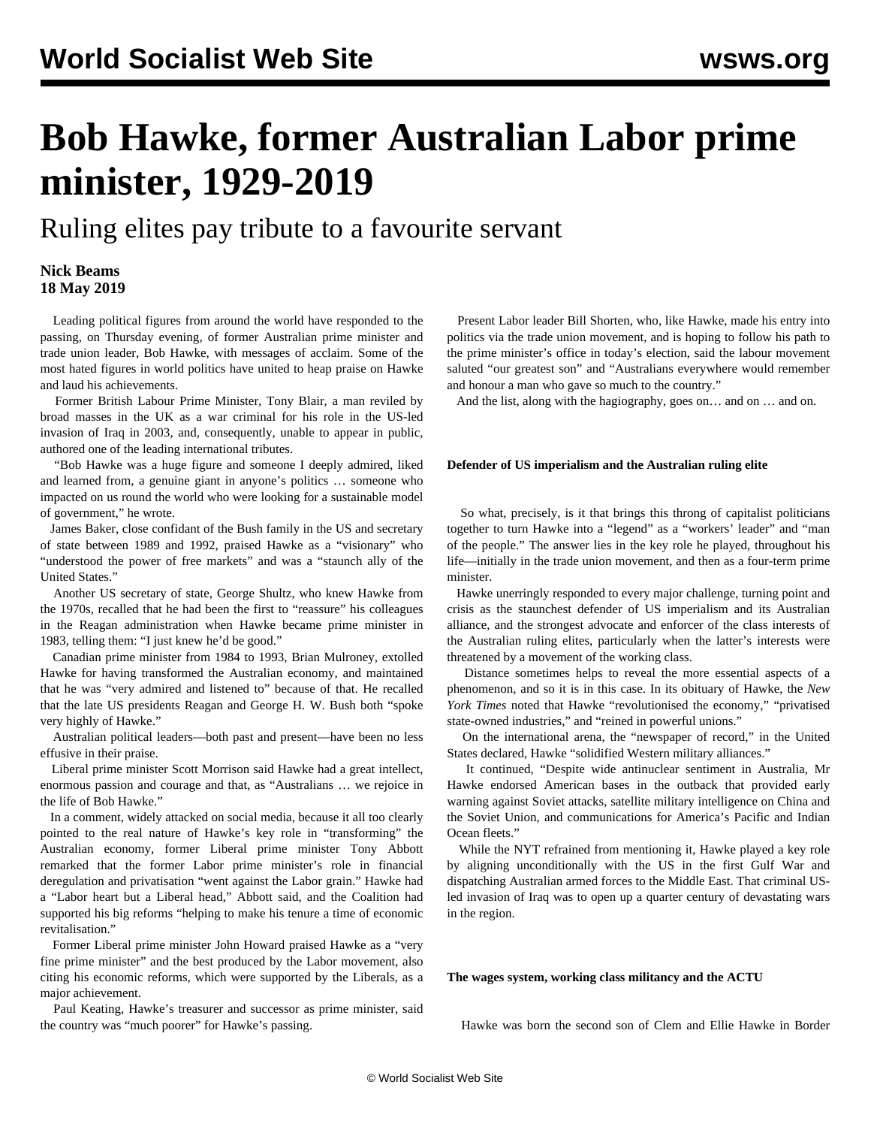# **Bob Hawke, former Australian Labor prime minister, 1929-2019**

Ruling elites pay tribute to a favourite servant

### **Nick Beams 18 May 2019**

 Leading political figures from around the world have responded to the passing, on Thursday evening, of former Australian prime minister and trade union leader, Bob Hawke, with messages of acclaim. Some of the most hated figures in world politics have united to heap praise on Hawke and laud his achievements.

 Former British Labour Prime Minister, Tony Blair, a man reviled by broad masses in the UK as a war criminal for his role in the US-led invasion of Iraq in 2003, and, consequently, unable to appear in public, authored one of the leading international tributes.

 "Bob Hawke was a huge figure and someone I deeply admired, liked and learned from, a genuine giant in anyone's politics … someone who impacted on us round the world who were looking for a sustainable model of government," he wrote.

 James Baker, close confidant of the Bush family in the US and secretary of state between 1989 and 1992, praised Hawke as a "visionary" who "understood the power of free markets" and was a "staunch ally of the United States."

 Another US secretary of state, George Shultz, who knew Hawke from the 1970s, recalled that he had been the first to "reassure" his colleagues in the Reagan administration when Hawke became prime minister in 1983, telling them: "I just knew he'd be good."

 Canadian prime minister from 1984 to 1993, Brian Mulroney, extolled Hawke for having transformed the Australian economy, and maintained that he was "very admired and listened to" because of that. He recalled that the late US presidents Reagan and George H. W. Bush both "spoke very highly of Hawke."

 Australian political leaders—both past and present—have been no less effusive in their praise.

 Liberal prime minister Scott Morrison said Hawke had a great intellect, enormous passion and courage and that, as "Australians … we rejoice in the life of Bob Hawke."

 In a comment, widely attacked on social media, because it all too clearly pointed to the real nature of Hawke's key role in "transforming" the Australian economy, former Liberal prime minister Tony Abbott remarked that the former Labor prime minister's role in financial deregulation and privatisation "went against the Labor grain." Hawke had a "Labor heart but a Liberal head," Abbott said, and the Coalition had supported his big reforms "helping to make his tenure a time of economic revitalisation."

 Former Liberal prime minister John Howard praised Hawke as a "very fine prime minister" and the best produced by the Labor movement, also citing his economic reforms, which were supported by the Liberals, as a major achievement.

 Paul Keating, Hawke's treasurer and successor as prime minister, said the country was "much poorer" for Hawke's passing.

 Present Labor leader Bill Shorten, who, like Hawke, made his entry into politics via the trade union movement, and is hoping to follow his path to the prime minister's office in today's election, said the labour movement saluted "our greatest son" and "Australians everywhere would remember and honour a man who gave so much to the country."

And the list, along with the hagiography, goes on… and on … and on.

#### **Defender of US imperialism and the Australian ruling elite**

 So what, precisely, is it that brings this throng of capitalist politicians together to turn Hawke into a "legend" as a "workers' leader" and "man of the people." The answer lies in the key role he played, throughout his life—initially in the trade union movement, and then as a four-term prime minister.

 Hawke unerringly responded to every major challenge, turning point and crisis as the staunchest defender of US imperialism and its Australian alliance, and the strongest advocate and enforcer of the class interests of the Australian ruling elites, particularly when the latter's interests were threatened by a movement of the working class.

 Distance sometimes helps to reveal the more essential aspects of a phenomenon, and so it is in this case. In its obituary of Hawke, the *New York Times* noted that Hawke "revolutionised the economy," "privatised state-owned industries," and "reined in powerful unions."

 On the international arena, the "newspaper of record," in the United States declared, Hawke "solidified Western military alliances."

 It continued, "Despite wide antinuclear sentiment in Australia, Mr Hawke endorsed American bases in the outback that provided early warning against Soviet attacks, satellite military intelligence on China and the Soviet Union, and communications for America's Pacific and Indian Ocean fleets."

 While the NYT refrained from mentioning it, Hawke played a key role by aligning unconditionally with the US in the first Gulf War and dispatching Australian armed forces to the Middle East. That criminal USled invasion of Iraq was to open up a quarter century of devastating wars in the region.

#### **The wages system, working class militancy and the ACTU**

Hawke was born the second son of Clem and Ellie Hawke in Border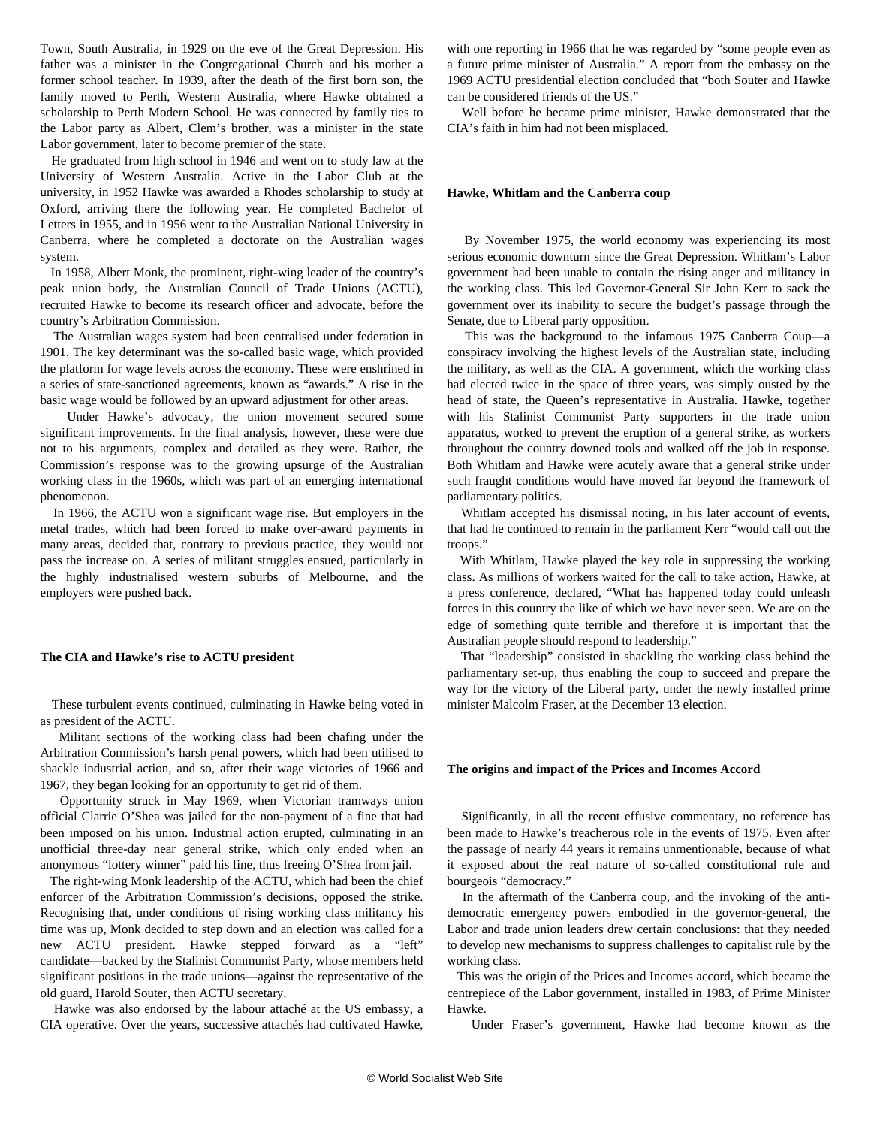Town, South Australia, in 1929 on the eve of the Great Depression. His father was a minister in the Congregational Church and his mother a former school teacher. In 1939, after the death of the first born son, the family moved to Perth, Western Australia, where Hawke obtained a scholarship to Perth Modern School. He was connected by family ties to the Labor party as Albert, Clem's brother, was a minister in the state Labor government, later to become premier of the state.

 He graduated from high school in 1946 and went on to study law at the University of Western Australia. Active in the Labor Club at the university, in 1952 Hawke was awarded a Rhodes scholarship to study at Oxford, arriving there the following year. He completed Bachelor of Letters in 1955, and in 1956 went to the Australian National University in Canberra, where he completed a doctorate on the Australian wages system.

 In 1958, Albert Monk, the prominent, right-wing leader of the country's peak union body, the Australian Council of Trade Unions (ACTU), recruited Hawke to become its research officer and advocate, before the country's Arbitration Commission.

 The Australian wages system had been centralised under federation in 1901. The key determinant was the so-called basic wage, which provided the platform for wage levels across the economy. These were enshrined in a series of state-sanctioned agreements, known as "awards." A rise in the basic wage would be followed by an upward adjustment for other areas.

 Under Hawke's advocacy, the union movement secured some significant improvements. In the final analysis, however, these were due not to his arguments, complex and detailed as they were. Rather, the Commission's response was to the growing upsurge of the Australian working class in the 1960s, which was part of an emerging international phenomenon.

 In 1966, the ACTU won a significant wage rise. But employers in the metal trades, which had been forced to make over-award payments in many areas, decided that, contrary to previous practice, they would not pass the increase on. A series of militant struggles ensued, particularly in the highly industrialised western suburbs of Melbourne, and the employers were pushed back.

#### **The CIA and Hawke's rise to ACTU president**

 These turbulent events continued, culminating in Hawke being voted in as president of the ACTU.

 Militant sections of the working class had been chafing under the Arbitration Commission's harsh penal powers, which had been utilised to shackle industrial action, and so, after their wage victories of 1966 and 1967, they began looking for an opportunity to get rid of them.

 Opportunity struck in May 1969, when Victorian tramways union official Clarrie O'Shea was jailed for the non-payment of a fine that had been imposed on his union. Industrial action erupted, culminating in an unofficial three-day near general strike, which only ended when an anonymous "lottery winner" paid his fine, thus freeing O'Shea from jail.

 The right-wing Monk leadership of the ACTU, which had been the chief enforcer of the Arbitration Commission's decisions, opposed the strike. Recognising that, under conditions of rising working class militancy his time was up, Monk decided to step down and an election was called for a new ACTU president. Hawke stepped forward as a "left" candidate—backed by the Stalinist Communist Party, whose members held significant positions in the trade unions—against the representative of the old guard, Harold Souter, then ACTU secretary.

 Hawke was also endorsed by the labour attaché at the US embassy, a CIA operative. Over the years, successive attachés had cultivated Hawke, with one reporting in 1966 that he was regarded by "some people even as a future prime minister of Australia." A report from the embassy on the 1969 ACTU presidential election concluded that "both Souter and Hawke can be considered friends of the US."

 Well before he became prime minister, Hawke demonstrated that the CIA's faith in him had not been misplaced.

#### **Hawke, Whitlam and the Canberra coup**

 By November 1975, the world economy was experiencing its most serious economic downturn since the Great Depression. Whitlam's Labor government had been unable to contain the rising anger and militancy in the working class. This led Governor-General Sir John Kerr to sack the government over its inability to secure the budget's passage through the Senate, due to Liberal party opposition.

 This was the background to the infamous 1975 Canberra Coup—a conspiracy involving the highest levels of the Australian state, including the military, as well as the CIA. A government, which the working class had elected twice in the space of three years, was simply ousted by the head of state, the Queen's representative in Australia. Hawke, together with his Stalinist Communist Party supporters in the trade union apparatus, worked to prevent the eruption of a general strike, as workers throughout the country downed tools and walked off the job in response. Both Whitlam and Hawke were acutely aware that a general strike under such fraught conditions would have moved far beyond the framework of parliamentary politics.

 Whitlam accepted his dismissal noting, in his later account of events, that had he continued to remain in the parliament Kerr "would call out the troops."

 With Whitlam, Hawke played the key role in suppressing the working class. As millions of workers waited for the call to take action, Hawke, at a press conference, declared, "What has happened today could unleash forces in this country the like of which we have never seen. We are on the edge of something quite terrible and therefore it is important that the Australian people should respond to leadership."

 That "leadership" consisted in shackling the working class behind the parliamentary set-up, thus enabling the coup to succeed and prepare the way for the victory of the Liberal party, under the newly installed prime minister Malcolm Fraser, at the December 13 election.

#### **The origins and impact of the Prices and Incomes Accord**

 Significantly, in all the recent effusive commentary, no reference has been made to Hawke's treacherous role in the events of 1975. Even after the passage of nearly 44 years it remains unmentionable, because of what it exposed about the real nature of so-called constitutional rule and bourgeois "democracy."

 In the aftermath of the Canberra coup, and the invoking of the antidemocratic emergency powers embodied in the governor-general, the Labor and trade union leaders drew certain conclusions: that they needed to develop new mechanisms to suppress challenges to capitalist rule by the working class.

 This was the origin of the Prices and Incomes accord, which became the centrepiece of the Labor government, installed in 1983, of Prime Minister Hawke.

Under Fraser's government, Hawke had become known as the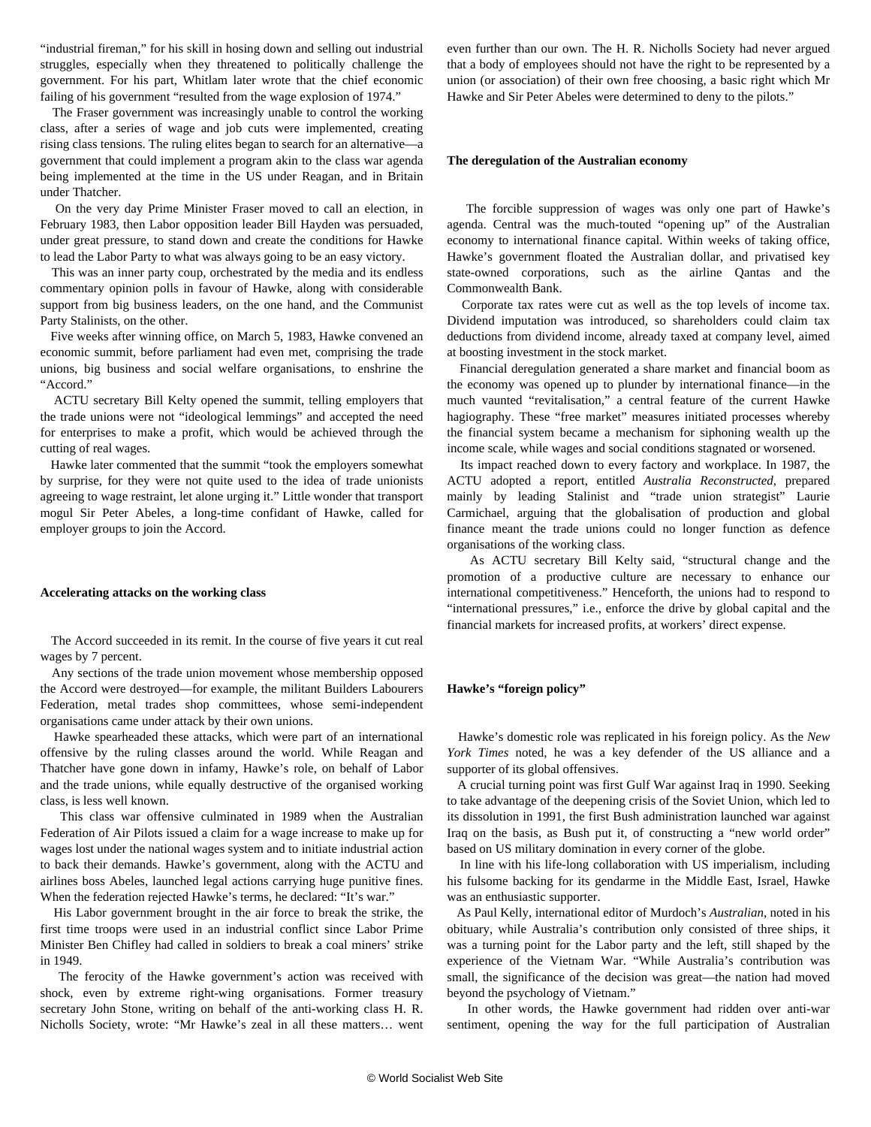"industrial fireman," for his skill in hosing down and selling out industrial struggles, especially when they threatened to politically challenge the government. For his part, Whitlam later wrote that the chief economic failing of his government "resulted from the wage explosion of 1974."

 The Fraser government was increasingly unable to control the working class, after a series of wage and job cuts were implemented, creating rising class tensions. The ruling elites began to search for an alternative—a government that could implement a program akin to the class war agenda being implemented at the time in the US under Reagan, and in Britain under Thatcher.

 On the very day Prime Minister Fraser moved to call an election, in February 1983, then Labor opposition leader Bill Hayden was persuaded, under great pressure, to stand down and create the conditions for Hawke to lead the Labor Party to what was always going to be an easy victory.

 This was an inner party coup, orchestrated by the media and its endless commentary opinion polls in favour of Hawke, along with considerable support from big business leaders, on the one hand, and the Communist Party Stalinists, on the other.

 Five weeks after winning office, on March 5, 1983, Hawke convened an economic summit, before parliament had even met, comprising the trade unions, big business and social welfare organisations, to enshrine the "Accord."

 ACTU secretary Bill Kelty opened the summit, telling employers that the trade unions were not "ideological lemmings" and accepted the need for enterprises to make a profit, which would be achieved through the cutting of real wages.

 Hawke later commented that the summit "took the employers somewhat by surprise, for they were not quite used to the idea of trade unionists agreeing to wage restraint, let alone urging it." Little wonder that transport mogul Sir Peter Abeles, a long-time confidant of Hawke, called for employer groups to join the Accord.

#### **Accelerating attacks on the working class**

 The Accord succeeded in its remit. In the course of five years it cut real wages by 7 percent.

 Any sections of the trade union movement whose membership opposed the Accord were destroyed—for example, the militant Builders Labourers Federation, metal trades shop committees, whose semi-independent organisations came under attack by their own unions.

 Hawke spearheaded these attacks, which were part of an international offensive by the ruling classes around the world. While Reagan and Thatcher have gone down in infamy, Hawke's role, on behalf of Labor and the trade unions, while equally destructive of the organised working class, is less well known.

 This class war offensive culminated in 1989 when the Australian Federation of Air Pilots issued a claim for a wage increase to make up for wages lost under the national wages system and to initiate industrial action to back their demands. Hawke's government, along with the ACTU and airlines boss Abeles, launched legal actions carrying huge punitive fines. When the federation rejected Hawke's terms, he declared: "It's war."

 His Labor government brought in the air force to break the strike, the first time troops were used in an industrial conflict since Labor Prime Minister Ben Chifley had called in soldiers to break a coal miners' strike in 1949.

 The ferocity of the Hawke government's action was received with shock, even by extreme right-wing organisations. Former treasury secretary John Stone, writing on behalf of the anti-working class H. R. Nicholls Society, wrote: "Mr Hawke's zeal in all these matters… went even further than our own. The H. R. Nicholls Society had never argued that a body of employees should not have the right to be represented by a union (or association) of their own free choosing, a basic right which Mr Hawke and Sir Peter Abeles were determined to deny to the pilots."

#### **The deregulation of the Australian economy**

 The forcible suppression of wages was only one part of Hawke's agenda. Central was the much-touted "opening up" of the Australian economy to international finance capital. Within weeks of taking office, Hawke's government floated the Australian dollar, and privatised key state-owned corporations, such as the airline Qantas and the Commonwealth Bank.

 Corporate tax rates were cut as well as the top levels of income tax. Dividend imputation was introduced, so shareholders could claim tax deductions from dividend income, already taxed at company level, aimed at boosting investment in the stock market.

 Financial deregulation generated a share market and financial boom as the economy was opened up to plunder by international finance—in the much vaunted "revitalisation," a central feature of the current Hawke hagiography. These "free market" measures initiated processes whereby the financial system became a mechanism for siphoning wealth up the income scale, while wages and social conditions stagnated or worsened.

 Its impact reached down to every factory and workplace. In 1987, the ACTU adopted a report, entitled *Australia Reconstructed*, prepared mainly by leading Stalinist and "trade union strategist" Laurie Carmichael, arguing that the globalisation of production and global finance meant the trade unions could no longer function as defence organisations of the working class.

 As ACTU secretary Bill Kelty said, "structural change and the promotion of a productive culture are necessary to enhance our international competitiveness." Henceforth, the unions had to respond to "international pressures," i.e., enforce the drive by global capital and the financial markets for increased profits, at workers' direct expense.

#### **Hawke's "foreign policy"**

 Hawke's domestic role was replicated in his foreign policy. As the *New York Times* noted, he was a key defender of the US alliance and a supporter of its global offensives.

 A crucial turning point was first Gulf War against Iraq in 1990. Seeking to take advantage of the deepening crisis of the Soviet Union, which led to its dissolution in 1991, the first Bush administration launched war against Iraq on the basis, as Bush put it, of constructing a "new world order" based on US military domination in every corner of the globe.

 In line with his life-long collaboration with US imperialism, including his fulsome backing for its gendarme in the Middle East, Israel, Hawke was an enthusiastic supporter.

 As Paul Kelly, international editor of Murdoch's *Australian*, noted in his obituary, while Australia's contribution only consisted of three ships, it was a turning point for the Labor party and the left, still shaped by the experience of the Vietnam War. "While Australia's contribution was small, the significance of the decision was great—the nation had moved beyond the psychology of Vietnam."

 In other words, the Hawke government had ridden over anti-war sentiment, opening the way for the full participation of Australian